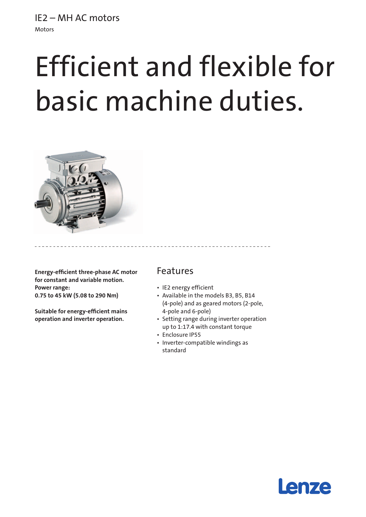## IE2 – MH AC motors Motors

# Efficient and flexible for basic machine duties.



**Energy-efficient three-phase AC motor for constant and variable motion. Power range: 0.75 to 45 kW (5.08 to 290 Nm)**

**Suitable for energy-efficient mains operation and inverter operation.**

## Features

- IE2 energy efficient
- Available in the models B3, B5, B14 (4-pole) and as geared motors (2-pole, 4-pole and 6-pole)
- Setting range during inverter operation up to 1:17.4 with constant torque
- Enclosure IP55
- • Inverter-compatible windings as standard